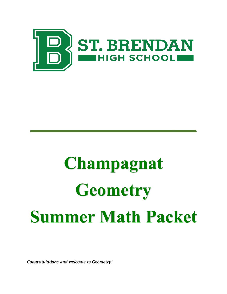

# **Champagnat Geometry Summer Math Packet**

*Congratulations and welcome to Geometry!*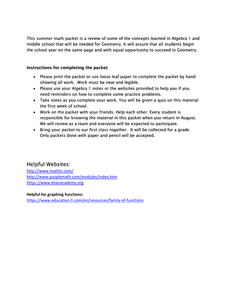This summer math packet is a review of some of the concepts learned in Algebra 1 and middle school that will be needed for Geometry. It will assure that all students begin the school year on the same page and with equal opportunity to succeed in Geometry.

#### Instructions for completing the packet:

- Please print the packet or use loose leaf paper to complete the packet by hand showing all work. Work must be neat and legible.
- Please use your Algebra 1 notes or the websites provided to help you if you need reminders on how to complete some practice problems.
- Take notes as you complete your work. You will be given a quiz on this material the first week of school.
- Work on the packet with your friends. Help each other. Every student is responsible for knowing the material in this packet when you return in August. We will review as a team and everyone will be expected to participate.
- Bring your packet to our first class together. It will be collected for a grade. Only packets done with paper and pencil will be accepted.

## Helpful Websites:

[http://www.mathtv.com/](https://mathtv.com/) <http://www.purplemath.com/modules/index.htm> [https://www.khanacademy.org](https://www.khanacademy.org/)

#### **Helpful for graphing functions:**

<https://www.education.ti.com/en/resources/family-of-functions>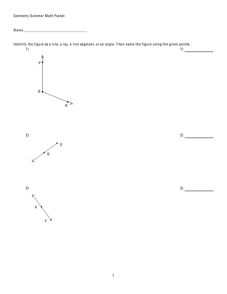Geometry Summer Math Packet

Identify the figure as a line, a ray, a line segment, or an angle. Then name the figure using the given points.  $\begin{array}{c}\n1) \end{array}$  $\left(1\right)$ 





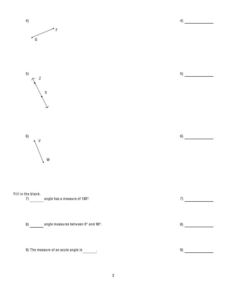

 $\overline{2}$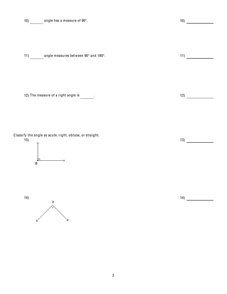| 10) | angle has a measure of 90°.          | 10) |
|-----|--------------------------------------|-----|
|     |                                      |     |
|     |                                      |     |
|     |                                      |     |
| 11) | angle measures between 90° and 180°. | 11) |
|     |                                      |     |
|     |                                      |     |
|     |                                      |     |
|     | 12) The measure of a right angle is  | 12) |
|     |                                      |     |

C lassi fy the angle as acute, right, obtuse, or straight.



)



)

)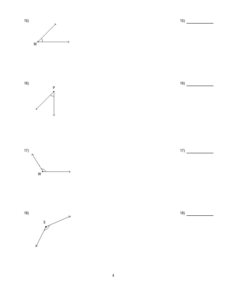







5 )

6 )

7 )

8 )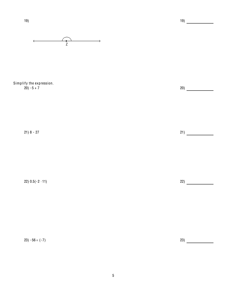

Simplify the expression.  $20) - 5 + 7$ 

 $21) 8 - 27$ 

22)  $0.5(-2 \cdot 11)$ 

 $(23) - 56 \div (-7)$ 

 $21)$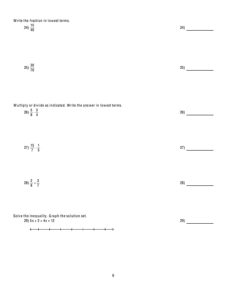Write the fraction in lowest terms.

| 24) $\frac{15}{40}$                                                                                          | 24) |
|--------------------------------------------------------------------------------------------------------------|-----|
| $(25)\frac{30}{70}$                                                                                          | 25) |
| Multiply or divide as indicated. Write the answer in lowest terms.<br>26) $\frac{5}{8} \cdot \frac{3}{4}$    | 26) |
| 27) $\frac{15}{7} \cdot \frac{1}{5}$                                                                         | 27) |
| 28) $\frac{2}{8} \div \frac{3}{7}$                                                                           | 28) |
| Solve the inequality. Graph the solution set.<br>$29)$ 5x + 2 > 4x + 12<br>$\leftarrow$<br>$\longrightarrow$ | 29) |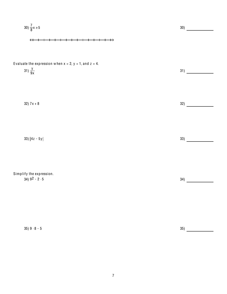$$
30) \frac{7}{8}x \ge 5
$$
  
\n
$$
4 + 1 + 1 + 1 + 1 + 1 + \cdots
$$
\n
$$
431 \frac{y}{9x}
$$
  
\nEvaluate the expression when x = 2, y = 1, and z = 4.  
\n
$$
31 \frac{1}{9x}
$$
  
\n
$$
32 \frac{1}{x} \ge 5y
$$
  
\n
$$
33 \frac{1}{x} \ge 5y
$$
  
\n
$$
33 \frac{1}{x} \ge 5y
$$
  
\n
$$
34 \frac{1}{x} \ge 5y
$$
  
\n
$$
35 \frac{1}{x} \ge 5
$$
  
\n
$$
36 \frac{1}{x} \ge 5y
$$
  
\n
$$
37 \frac{1}{x} \ge 5y
$$
  
\n
$$
38 \frac{1}{x} \ge 5y
$$
  
\n
$$
39 \frac{1}{x} \ge 5y
$$
  
\n
$$
30 \frac{1}{x} \ge 5y
$$
  
\n
$$
31 \frac{1}{x} \ge 5y
$$
  
\n
$$
33 \frac{1}{x} \ge 5y
$$
  
\n
$$
34 \frac{1}{x} \ge 5y
$$
  
\n
$$
35 \frac{1}{x} \ge 5y
$$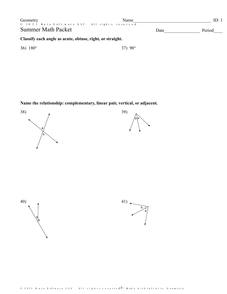| Geometry                                                  | Name<br>© 2021 Kuta Software LLC. All rights reserved. |      | ID: 1  |  |  |  |  |  |
|-----------------------------------------------------------|--------------------------------------------------------|------|--------|--|--|--|--|--|
| <b>Summer Math Packet</b>                                 |                                                        | Date | Period |  |  |  |  |  |
| Classify each angle as acute, obtuse, right, or straight. |                                                        |      |        |  |  |  |  |  |
| 36) $180^{\circ}$                                         | $37)$ 90 $^{\circ}$                                    |      |        |  |  |  |  |  |

Name the relationship: complementary, linear pair, vertical, or adjacent.







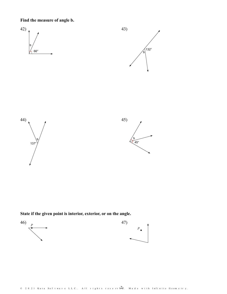Find the measure of angle b.



State if the given point is interior, exterior, or on the angle.

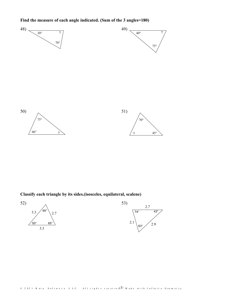Find the measure of each angle indicated. (Sum of the 3 angles=180)



Classify each triangle by its sides.(isosceles, equilateral, scalene)

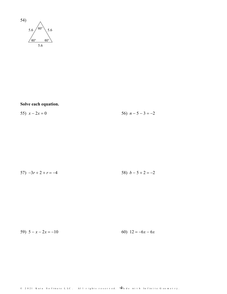

Solve each equation.

56)  $n-5-3=-2$ 55)  $x - 2x = 0$ 

| 57) $-3r + 2 + r = -4$ |  |  | 58) $b-5+2=-2$ |
|------------------------|--|--|----------------|
|                        |  |  |                |

59)  $5 - x - 2x = -10$ 60)  $12 = -6x - 6x$ 

All rights reserved.  $-\frac{A}{M}$  a de with Infinite Geometry.  $© 2 0 2 1$  Kuta Software LLC.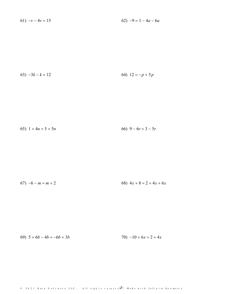61)  $-v-4v = 15$ 62)  $-9 = 1 - 4a - 6a$ 

$$
(63) -3k - k = 12
$$
\n
$$
(64) 12 = -p + 5p
$$

$$
(65) \ \ 1 + 4n = 5 + 5n \tag{66} \ \ 9 - 6r = 3 - 5r
$$

$$
(67) -6 - m = m + 2
$$
\n
$$
(68) 4x + 8 = 2 + 4x + 6x
$$

69)  $5 + 6b - 4b = -6b + 3b$ 70)  $-10 + 6x = 2 + 4x$ 

 $\circ$  2021 Kuta Software LLC. All rights reserver  $5$ - Made with Infinite Geometry.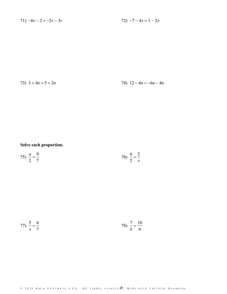$$
71) -6v - 2 = -2v - 3v
$$

72)  $-7 - 4x = 1 - 2x$ 

73)  $3 + 4n = 5 + 2n$ 

74)  $12 - 6n = -6n - 4n$ 

### Solve each proportion.

$$
75) \frac{a}{2} = \frac{9}{7}
$$
 
$$
76) \frac{6}{2} = \frac{2}{x}
$$

77) 
$$
\frac{5}{x} = \frac{6}{7}
$$
 78)  $\frac{7}{k} = \frac{10}{6}$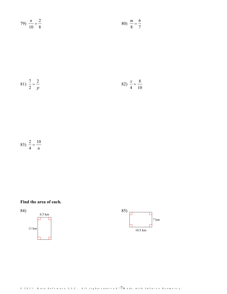$$
79) \frac{n}{10} = \frac{2}{8}
$$
 80)  $\frac{m}{8} = \frac{6}{7}$ 

81) 
$$
\frac{7}{2} = \frac{2}{p}
$$
 82)  $\frac{x}{4} = \frac{8}{10}$ 

83) 
$$
\frac{2}{4} = \frac{10}{n}
$$

Find the area of each.